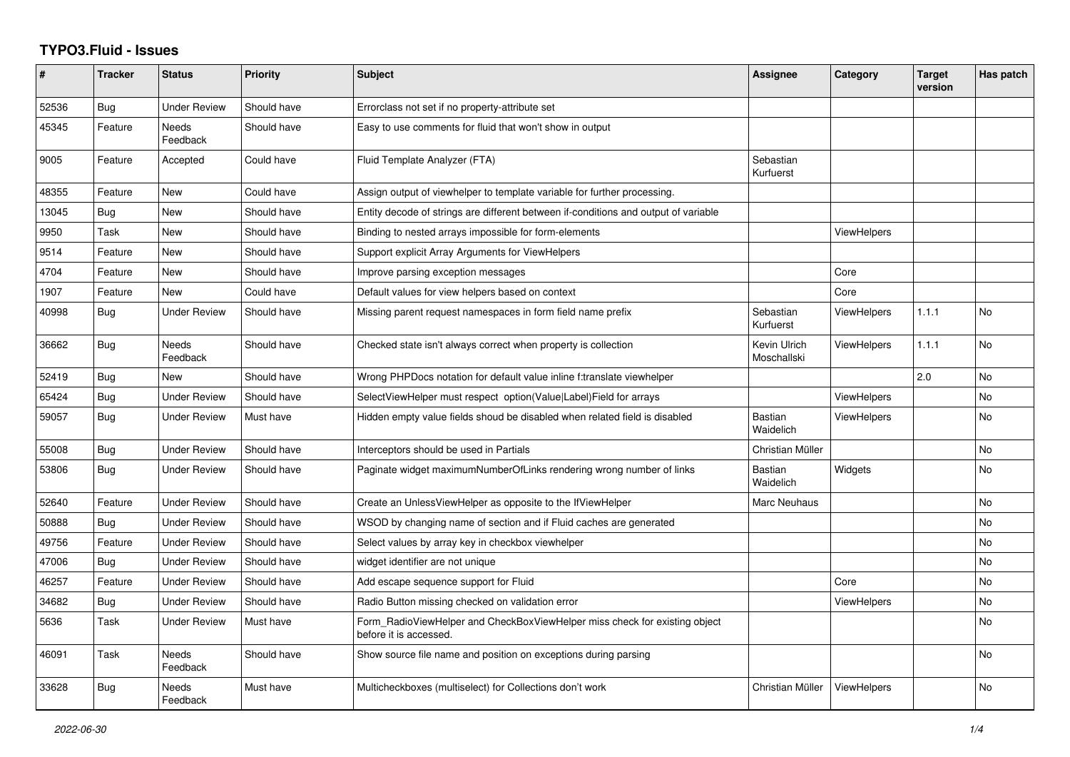## **TYPO3.Fluid - Issues**

| #     | <b>Tracker</b> | <b>Status</b>            | <b>Priority</b> | <b>Subject</b>                                                                                       | Assignee                    | Category           | <b>Target</b><br>version | Has patch |
|-------|----------------|--------------------------|-----------------|------------------------------------------------------------------------------------------------------|-----------------------------|--------------------|--------------------------|-----------|
| 52536 | <b>Bug</b>     | <b>Under Review</b>      | Should have     | Errorclass not set if no property-attribute set                                                      |                             |                    |                          |           |
| 45345 | Feature        | Needs<br>Feedback        | Should have     | Easy to use comments for fluid that won't show in output                                             |                             |                    |                          |           |
| 9005  | Feature        | Accepted                 | Could have      | Fluid Template Analyzer (FTA)                                                                        | Sebastian<br>Kurfuerst      |                    |                          |           |
| 48355 | Feature        | New                      | Could have      | Assign output of viewhelper to template variable for further processing.                             |                             |                    |                          |           |
| 13045 | Bug            | New                      | Should have     | Entity decode of strings are different between if-conditions and output of variable                  |                             |                    |                          |           |
| 9950  | Task           | <b>New</b>               | Should have     | Binding to nested arrays impossible for form-elements                                                |                             | <b>ViewHelpers</b> |                          |           |
| 9514  | Feature        | New                      | Should have     | Support explicit Array Arguments for ViewHelpers                                                     |                             |                    |                          |           |
| 4704  | Feature        | New                      | Should have     | Improve parsing exception messages                                                                   |                             | Core               |                          |           |
| 1907  | Feature        | <b>New</b>               | Could have      | Default values for view helpers based on context                                                     |                             | Core               |                          |           |
| 40998 | <b>Bug</b>     | Under Review             | Should have     | Missing parent request namespaces in form field name prefix                                          | Sebastian<br>Kurfuerst      | ViewHelpers        | 1.1.1                    | <b>No</b> |
| 36662 | Bug            | Needs<br>Feedback        | Should have     | Checked state isn't always correct when property is collection                                       | Kevin Ulrich<br>Moschallski | <b>ViewHelpers</b> | 1.1.1                    | <b>No</b> |
| 52419 | <b>Bug</b>     | New                      | Should have     | Wrong PHPDocs notation for default value inline f:translate viewhelper                               |                             |                    | 2.0                      | No        |
| 65424 | <b>Bug</b>     | <b>Under Review</b>      | Should have     | SelectViewHelper must respect option(Value Label)Field for arrays                                    |                             | <b>ViewHelpers</b> |                          | <b>No</b> |
| 59057 | Bug            | <b>Under Review</b>      | Must have       | Hidden empty value fields shoud be disabled when related field is disabled                           | Bastian<br>Waidelich        | <b>ViewHelpers</b> |                          | <b>No</b> |
| 55008 | Bug            | <b>Under Review</b>      | Should have     | Interceptors should be used in Partials                                                              | Christian Müller            |                    |                          | No        |
| 53806 | Bug            | <b>Under Review</b>      | Should have     | Paginate widget maximumNumberOfLinks rendering wrong number of links                                 | Bastian<br>Waidelich        | Widgets            |                          | <b>No</b> |
| 52640 | Feature        | <b>Under Review</b>      | Should have     | Create an UnlessViewHelper as opposite to the IfViewHelper                                           | Marc Neuhaus                |                    |                          | No        |
| 50888 | Bug            | Under Review             | Should have     | WSOD by changing name of section and if Fluid caches are generated                                   |                             |                    |                          | <b>No</b> |
| 49756 | Feature        | <b>Under Review</b>      | Should have     | Select values by array key in checkbox viewhelper                                                    |                             |                    |                          | No        |
| 47006 | Bug            | <b>Under Review</b>      | Should have     | widget identifier are not unique                                                                     |                             |                    |                          | <b>No</b> |
| 46257 | Feature        | <b>Under Review</b>      | Should have     | Add escape sequence support for Fluid                                                                |                             | Core               |                          | <b>No</b> |
| 34682 | Bug            | Under Review             | Should have     | Radio Button missing checked on validation error                                                     |                             | ViewHelpers        |                          | No        |
| 5636  | Task           | Under Review             | Must have       | Form_RadioViewHelper and CheckBoxViewHelper miss check for existing object<br>before it is accessed. |                             |                    |                          | <b>No</b> |
| 46091 | Task           | <b>Needs</b><br>Feedback | Should have     | Show source file name and position on exceptions during parsing                                      |                             |                    |                          | <b>No</b> |
| 33628 | <b>Bug</b>     | Needs<br>Feedback        | Must have       | Multicheckboxes (multiselect) for Collections don't work                                             | Christian Müller            | <b>ViewHelpers</b> |                          | <b>No</b> |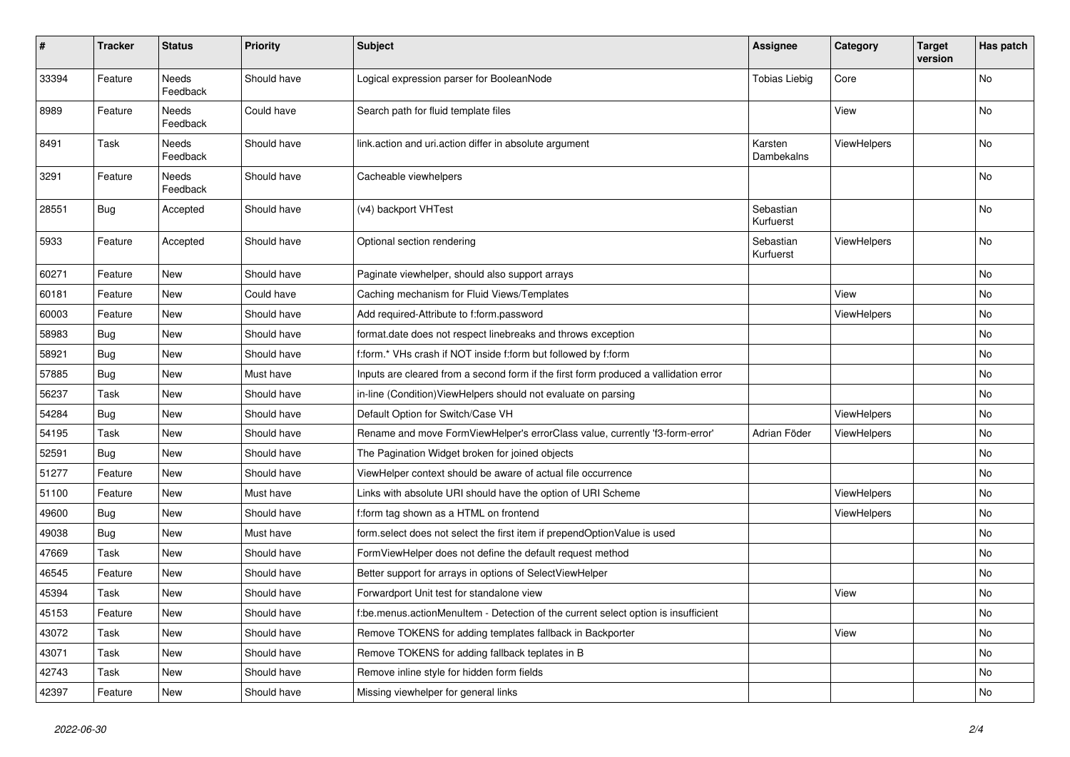| #     | <b>Tracker</b> | <b>Status</b>            | <b>Priority</b> | <b>Subject</b>                                                                       | <b>Assignee</b>        | Category           | <b>Target</b><br>version | Has patch |
|-------|----------------|--------------------------|-----------------|--------------------------------------------------------------------------------------|------------------------|--------------------|--------------------------|-----------|
| 33394 | Feature        | <b>Needs</b><br>Feedback | Should have     | Logical expression parser for BooleanNode                                            | <b>Tobias Liebig</b>   | Core               |                          | No        |
| 8989  | Feature        | Needs<br>Feedback        | Could have      | Search path for fluid template files                                                 |                        | View               |                          | No        |
| 8491  | Task           | Needs<br>Feedback        | Should have     | link.action and uri.action differ in absolute argument                               | Karsten<br>Dambekalns  | ViewHelpers        |                          | No        |
| 3291  | Feature        | <b>Needs</b><br>Feedback | Should have     | Cacheable viewhelpers                                                                |                        |                    |                          | No        |
| 28551 | Bug            | Accepted                 | Should have     | (v4) backport VHTest                                                                 | Sebastian<br>Kurfuerst |                    |                          | No        |
| 5933  | Feature        | Accepted                 | Should have     | Optional section rendering                                                           | Sebastian<br>Kurfuerst | ViewHelpers        |                          | No        |
| 60271 | Feature        | New                      | Should have     | Paginate viewhelper, should also support arrays                                      |                        |                    |                          | No        |
| 60181 | Feature        | New                      | Could have      | Caching mechanism for Fluid Views/Templates                                          |                        | View               |                          | No        |
| 60003 | Feature        | New                      | Should have     | Add required-Attribute to f:form.password                                            |                        | ViewHelpers        |                          | No        |
| 58983 | Bug            | New                      | Should have     | format.date does not respect linebreaks and throws exception                         |                        |                    |                          | No        |
| 58921 | Bug            | New                      | Should have     | f:form.* VHs crash if NOT inside f:form but followed by f:form                       |                        |                    |                          | No.       |
| 57885 | <b>Bug</b>     | New                      | Must have       | Inputs are cleared from a second form if the first form produced a vallidation error |                        |                    |                          | No        |
| 56237 | Task           | New                      | Should have     | in-line (Condition) ViewHelpers should not evaluate on parsing                       |                        |                    |                          | No        |
| 54284 | Bug            | New                      | Should have     | Default Option for Switch/Case VH                                                    |                        | ViewHelpers        |                          | No        |
| 54195 | Task           | New                      | Should have     | Rename and move FormViewHelper's errorClass value, currently 'f3-form-error'         | Adrian Föder           | <b>ViewHelpers</b> |                          | No        |
| 52591 | Bug            | New                      | Should have     | The Pagination Widget broken for joined objects                                      |                        |                    |                          | No        |
| 51277 | Feature        | New                      | Should have     | ViewHelper context should be aware of actual file occurrence                         |                        |                    |                          | No        |
| 51100 | Feature        | New                      | Must have       | Links with absolute URI should have the option of URI Scheme                         |                        | ViewHelpers        |                          | No        |
| 49600 | Bug            | New                      | Should have     | f:form tag shown as a HTML on frontend                                               |                        | ViewHelpers        |                          | No        |
| 49038 | Bug            | New                      | Must have       | form.select does not select the first item if prependOptionValue is used             |                        |                    |                          | No        |
| 47669 | Task           | New                      | Should have     | FormViewHelper does not define the default request method                            |                        |                    |                          | No        |
| 46545 | Feature        | New                      | Should have     | Better support for arrays in options of SelectViewHelper                             |                        |                    |                          | No        |
| 45394 | Task           | New                      | Should have     | Forwardport Unit test for standalone view                                            |                        | View               |                          | No        |
| 45153 | Feature        | New                      | Should have     | f:be.menus.actionMenuItem - Detection of the current select option is insufficient   |                        |                    |                          | No        |
| 43072 | Task           | New                      | Should have     | Remove TOKENS for adding templates fallback in Backporter                            |                        | View               |                          | No        |
| 43071 | Task           | New                      | Should have     | Remove TOKENS for adding fallback teplates in B                                      |                        |                    |                          | No        |
| 42743 | Task           | New                      | Should have     | Remove inline style for hidden form fields                                           |                        |                    |                          | No        |
| 42397 | Feature        | New                      | Should have     | Missing viewhelper for general links                                                 |                        |                    |                          | No        |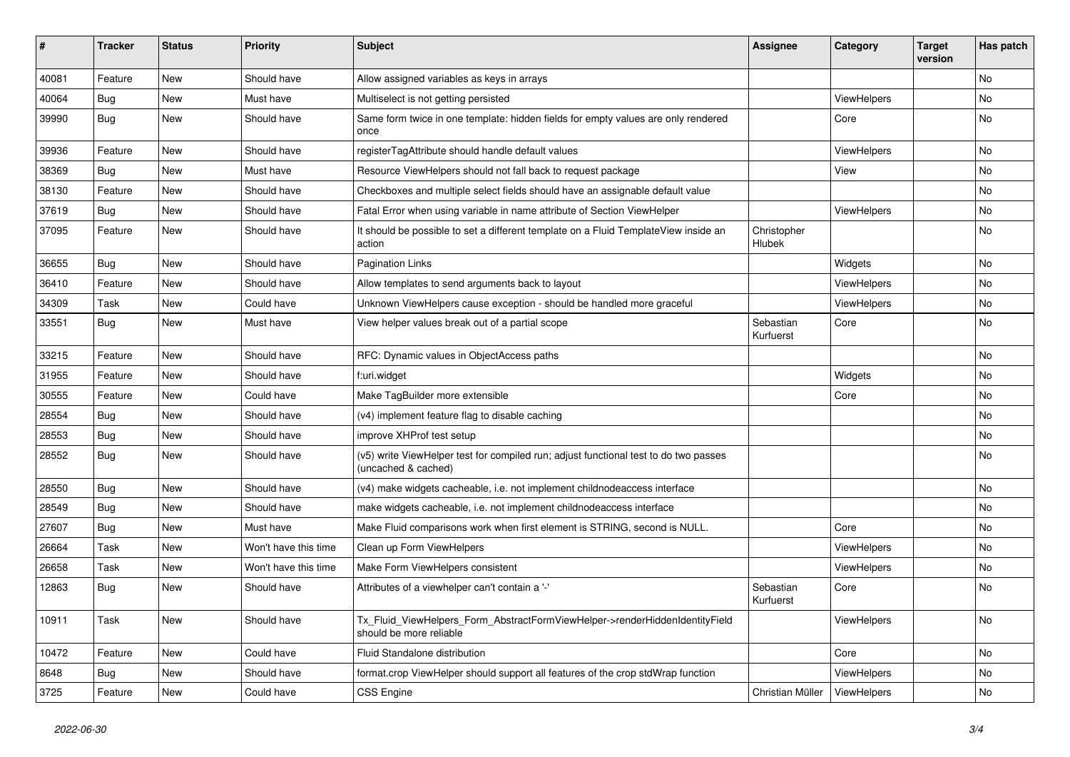| ∦     | <b>Tracker</b> | <b>Status</b> | <b>Priority</b>      | <b>Subject</b>                                                                                              | <b>Assignee</b>              | Category    | <b>Target</b><br>version | Has patch |
|-------|----------------|---------------|----------------------|-------------------------------------------------------------------------------------------------------------|------------------------------|-------------|--------------------------|-----------|
| 40081 | Feature        | New           | Should have          | Allow assigned variables as keys in arrays                                                                  |                              |             |                          | No        |
| 40064 | Bug            | New           | Must have            | Multiselect is not getting persisted                                                                        |                              | ViewHelpers |                          | No.       |
| 39990 | Bug            | New           | Should have          | Same form twice in one template: hidden fields for empty values are only rendered<br>once                   |                              | Core        |                          | No        |
| 39936 | Feature        | New           | Should have          | registerTagAttribute should handle default values                                                           |                              | ViewHelpers |                          | No        |
| 38369 | Bug            | <b>New</b>    | Must have            | Resource ViewHelpers should not fall back to request package                                                |                              | View        |                          | No.       |
| 38130 | Feature        | New           | Should have          | Checkboxes and multiple select fields should have an assignable default value                               |                              |             |                          | No        |
| 37619 | Bug            | New           | Should have          | Fatal Error when using variable in name attribute of Section ViewHelper                                     |                              | ViewHelpers |                          | No        |
| 37095 | Feature        | New           | Should have          | It should be possible to set a different template on a Fluid TemplateView inside an<br>action               | Christopher<br><b>Hlubek</b> |             |                          | No        |
| 36655 | <b>Bug</b>     | New           | Should have          | <b>Pagination Links</b>                                                                                     |                              | Widgets     |                          | No.       |
| 36410 | Feature        | New           | Should have          | Allow templates to send arguments back to layout                                                            |                              | ViewHelpers |                          | No.       |
| 34309 | Task           | New           | Could have           | Unknown ViewHelpers cause exception - should be handled more graceful                                       |                              | ViewHelpers |                          | No        |
| 33551 | Bug            | <b>New</b>    | Must have            | View helper values break out of a partial scope                                                             | Sebastian<br>Kurfuerst       | Core        |                          | No        |
| 33215 | Feature        | New           | Should have          | RFC: Dynamic values in ObjectAccess paths                                                                   |                              |             |                          | No        |
| 31955 | Feature        | New           | Should have          | f:uri.widget                                                                                                |                              | Widgets     |                          | No        |
| 30555 | Feature        | New           | Could have           | Make TagBuilder more extensible                                                                             |                              | Core        |                          | No.       |
| 28554 | Bug            | New           | Should have          | (v4) implement feature flag to disable caching                                                              |                              |             |                          | No.       |
| 28553 | Bug            | New           | Should have          | improve XHProf test setup                                                                                   |                              |             |                          | No        |
| 28552 | Bug            | New           | Should have          | (v5) write ViewHelper test for compiled run; adjust functional test to do two passes<br>(uncached & cached) |                              |             |                          | No        |
| 28550 | Bug            | New           | Should have          | (v4) make widgets cacheable, i.e. not implement childnodeaccess interface                                   |                              |             |                          | No        |
| 28549 | <b>Bug</b>     | New           | Should have          | make widgets cacheable, i.e. not implement childnodeaccess interface                                        |                              |             |                          | No        |
| 27607 | Bug            | New           | Must have            | Make Fluid comparisons work when first element is STRING, second is NULL.                                   |                              | Core        |                          | No        |
| 26664 | Task           | New           | Won't have this time | Clean up Form ViewHelpers                                                                                   |                              | ViewHelpers |                          | No        |
| 26658 | Task           | New           | Won't have this time | Make Form ViewHelpers consistent                                                                            |                              | ViewHelpers |                          | No        |
| 12863 | Bug            | New           | Should have          | Attributes of a viewhelper can't contain a '-'                                                              | Sebastian<br>Kurfuerst       | Core        |                          | No        |
| 10911 | Task           | New           | Should have          | Tx_Fluid_ViewHelpers_Form_AbstractFormViewHelper->renderHiddenIdentityField<br>should be more reliable      |                              | ViewHelpers |                          | No        |
| 10472 | Feature        | New           | Could have           | Fluid Standalone distribution                                                                               |                              | Core        |                          | No        |
| 8648  | <b>Bug</b>     | New           | Should have          | format.crop ViewHelper should support all features of the crop stdWrap function                             |                              | ViewHelpers |                          | No        |
| 3725  | Feature        | New           | Could have           | <b>CSS Engine</b>                                                                                           | Christian Müller             | ViewHelpers |                          | No        |